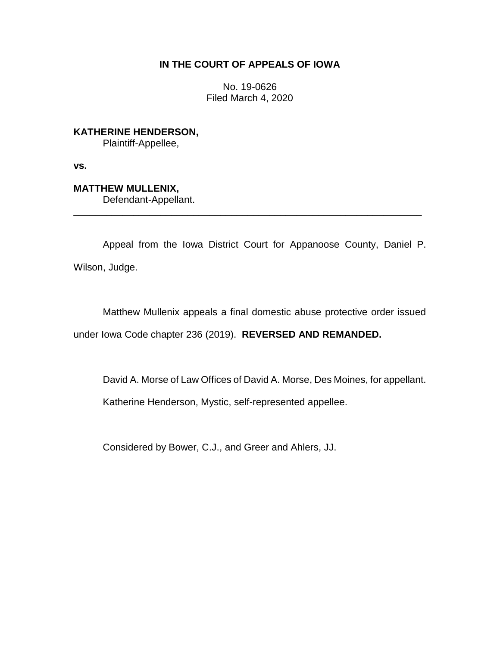## **IN THE COURT OF APPEALS OF IOWA**

No. 19-0626 Filed March 4, 2020

**KATHERINE HENDERSON,** Plaintiff-Appellee,

**vs.**

**MATTHEW MULLENIX,** Defendant-Appellant.

Appeal from the Iowa District Court for Appanoose County, Daniel P. Wilson, Judge.

\_\_\_\_\_\_\_\_\_\_\_\_\_\_\_\_\_\_\_\_\_\_\_\_\_\_\_\_\_\_\_\_\_\_\_\_\_\_\_\_\_\_\_\_\_\_\_\_\_\_\_\_\_\_\_\_\_\_\_\_\_\_\_\_

Matthew Mullenix appeals a final domestic abuse protective order issued under Iowa Code chapter 236 (2019). **REVERSED AND REMANDED.** 

David A. Morse of Law Offices of David A. Morse, Des Moines, for appellant.

Katherine Henderson, Mystic, self-represented appellee.

Considered by Bower, C.J., and Greer and Ahlers, JJ.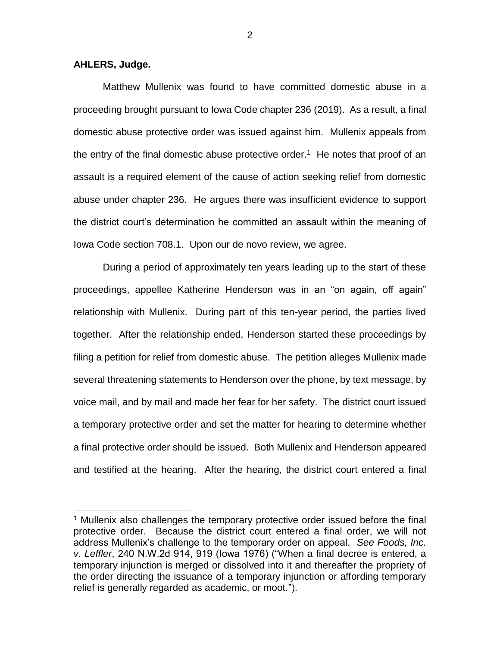## **AHLERS, Judge.**

 $\overline{a}$ 

Matthew Mullenix was found to have committed domestic abuse in a proceeding brought pursuant to Iowa Code chapter 236 (2019). As a result, a final domestic abuse protective order was issued against him. Mullenix appeals from the entry of the final domestic abuse protective order.<sup>1</sup> He notes that proof of an assault is a required element of the cause of action seeking relief from domestic abuse under chapter 236. He argues there was insufficient evidence to support the district court's determination he committed an assault within the meaning of Iowa Code section 708.1. Upon our de novo review, we agree.

During a period of approximately ten years leading up to the start of these proceedings, appellee Katherine Henderson was in an "on again, off again" relationship with Mullenix. During part of this ten-year period, the parties lived together. After the relationship ended, Henderson started these proceedings by filing a petition for relief from domestic abuse. The petition alleges Mullenix made several threatening statements to Henderson over the phone, by text message, by voice mail, and by mail and made her fear for her safety. The district court issued a temporary protective order and set the matter for hearing to determine whether a final protective order should be issued. Both Mullenix and Henderson appeared and testified at the hearing. After the hearing, the district court entered a final

<sup>&</sup>lt;sup>1</sup> Mullenix also challenges the temporary protective order issued before the final protective order. Because the district court entered a final order, we will not address Mullenix's challenge to the temporary order on appeal. *See Foods, Inc. v. Leffler*, 240 N.W.2d 914, 919 (Iowa 1976) ("When a final decree is entered, a temporary injunction is merged or dissolved into it and thereafter the propriety of the order directing the issuance of a temporary injunction or affording temporary relief is generally regarded as academic, or moot.").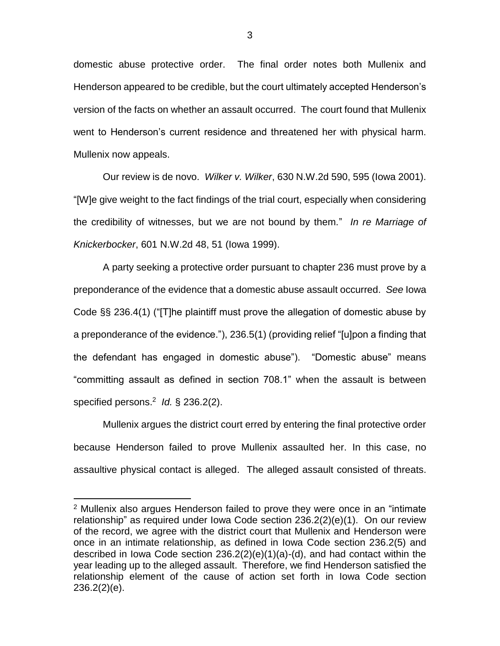domestic abuse protective order. The final order notes both Mullenix and Henderson appeared to be credible, but the court ultimately accepted Henderson's version of the facts on whether an assault occurred. The court found that Mullenix went to Henderson's current residence and threatened her with physical harm. Mullenix now appeals.

Our review is de novo. *Wilker v. Wilker*, 630 N.W.2d 590, 595 (Iowa 2001). "[W]e give weight to the fact findings of the trial court, especially when considering the credibility of witnesses, but we are not bound by them." *In re Marriage of Knickerbocker*, 601 N.W.2d 48, 51 (Iowa 1999).

A party seeking a protective order pursuant to chapter 236 must prove by a preponderance of the evidence that a domestic abuse assault occurred. *See* Iowa Code §§ 236.4(1) ("[T]he plaintiff must prove the allegation of domestic abuse by a preponderance of the evidence."), 236.5(1) (providing relief "[u]pon a finding that the defendant has engaged in domestic abuse"). "Domestic abuse" means "committing assault as defined in section 708.1" when the assault is between specified persons. 2 *Id.* § 236.2(2).

Mullenix argues the district court erred by entering the final protective order because Henderson failed to prove Mullenix assaulted her. In this case, no assaultive physical contact is alleged. The alleged assault consisted of threats.

 $\overline{a}$ 

<sup>&</sup>lt;sup>2</sup> Mullenix also argues Henderson failed to prove they were once in an "intimate relationship" as required under Iowa Code section 236.2(2)(e)(1). On our review of the record, we agree with the district court that Mullenix and Henderson were once in an intimate relationship, as defined in Iowa Code section 236.2(5) and described in Iowa Code section 236.2(2)(e)(1)(a)-(d), and had contact within the year leading up to the alleged assault. Therefore, we find Henderson satisfied the relationship element of the cause of action set forth in Iowa Code section 236.2(2)(e).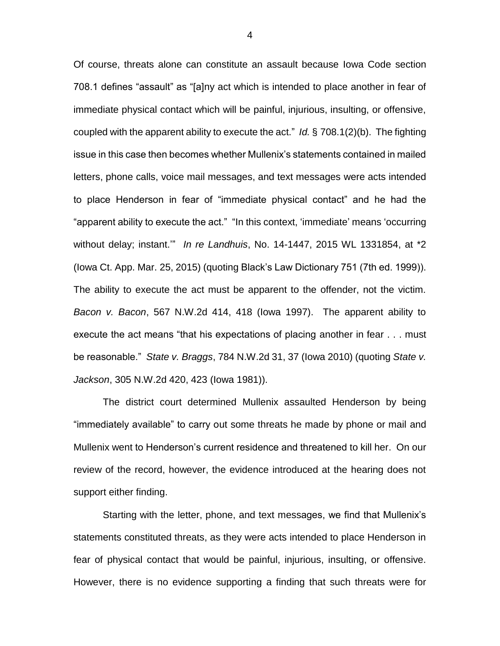Of course, threats alone can constitute an assault because Iowa Code section 708.1 defines "assault" as "[a]ny act which is intended to place another in fear of immediate physical contact which will be painful, injurious, insulting, or offensive, coupled with the apparent ability to execute the act." *Id.* § 708.1(2)(b). The fighting issue in this case then becomes whether Mullenix's statements contained in mailed letters, phone calls, voice mail messages, and text messages were acts intended to place Henderson in fear of "immediate physical contact" and he had the "apparent ability to execute the act." "In this context, 'immediate' means 'occurring without delay; instant.'" *In re Landhuis*, No. 14-1447, 2015 WL 1331854, at \*2 (Iowa Ct. App. Mar. 25, 2015) (quoting Black's Law Dictionary 751 (7th ed. 1999)). The ability to execute the act must be apparent to the offender, not the victim. *Bacon v. Bacon*, 567 N.W.2d 414, 418 (Iowa 1997). The apparent ability to execute the act means "that his expectations of placing another in fear . . . must be reasonable." *State v. Braggs*, 784 N.W.2d 31, 37 (Iowa 2010) (quoting *State v. Jackson*, 305 N.W.2d 420, 423 (Iowa 1981)).

The district court determined Mullenix assaulted Henderson by being "immediately available" to carry out some threats he made by phone or mail and Mullenix went to Henderson's current residence and threatened to kill her. On our review of the record, however, the evidence introduced at the hearing does not support either finding.

Starting with the letter, phone, and text messages, we find that Mullenix's statements constituted threats, as they were acts intended to place Henderson in fear of physical contact that would be painful, injurious, insulting, or offensive. However, there is no evidence supporting a finding that such threats were for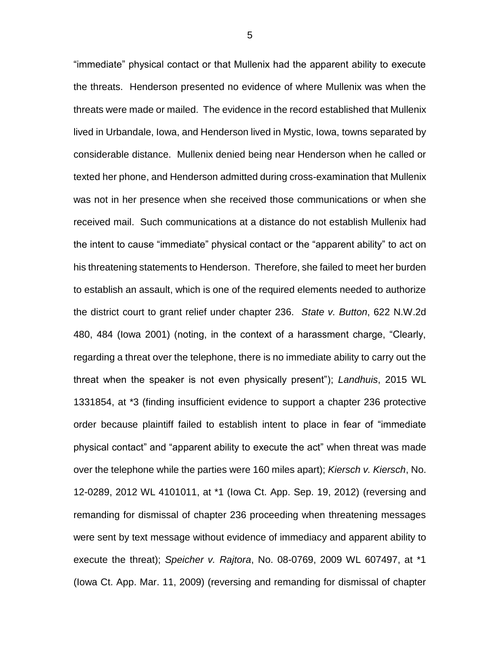"immediate" physical contact or that Mullenix had the apparent ability to execute the threats. Henderson presented no evidence of where Mullenix was when the threats were made or mailed. The evidence in the record established that Mullenix lived in Urbandale, Iowa, and Henderson lived in Mystic, Iowa, towns separated by considerable distance. Mullenix denied being near Henderson when he called or texted her phone, and Henderson admitted during cross-examination that Mullenix was not in her presence when she received those communications or when she received mail. Such communications at a distance do not establish Mullenix had the intent to cause "immediate" physical contact or the "apparent ability" to act on his threatening statements to Henderson. Therefore, she failed to meet her burden to establish an assault, which is one of the required elements needed to authorize the district court to grant relief under chapter 236. *State v. Button*, 622 N.W.2d 480, 484 (Iowa 2001) (noting, in the context of a harassment charge, "Clearly, regarding a threat over the telephone, there is no immediate ability to carry out the threat when the speaker is not even physically present"); *Landhuis*, 2015 WL 1331854, at \*3 (finding insufficient evidence to support a chapter 236 protective order because plaintiff failed to establish intent to place in fear of "immediate physical contact" and "apparent ability to execute the act" when threat was made over the telephone while the parties were 160 miles apart); *Kiersch v. Kiersch*, No. 12-0289, 2012 WL 4101011, at \*1 (Iowa Ct. App. Sep. 19, 2012) (reversing and remanding for dismissal of chapter 236 proceeding when threatening messages were sent by text message without evidence of immediacy and apparent ability to execute the threat); *Speicher v. Rajtora*, No. 08-0769, 2009 WL 607497, at \*1 (Iowa Ct. App. Mar. 11, 2009) (reversing and remanding for dismissal of chapter